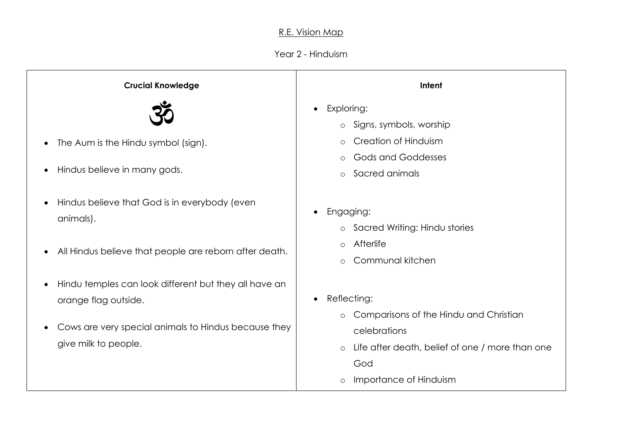## R.E. Vision Map

## Year 2 - Hinduism

| <b>Crucial Knowledge</b>                                                                                                                                                   | Intent                                                                                                                                                                                                  |
|----------------------------------------------------------------------------------------------------------------------------------------------------------------------------|---------------------------------------------------------------------------------------------------------------------------------------------------------------------------------------------------------|
| The Aum is the Hindu symbol (sign).<br>Hindus believe in many gods.                                                                                                        | Exploring:<br>$\bullet$<br>o Signs, symbols, worship<br>Creation of Hinduism<br>$\circ$<br><b>Gods and Goddesses</b><br>$\circ$<br>Sacred animals<br>$\circ$                                            |
| Hindus believe that God is in everybody (even<br>$\bullet$<br>animals).<br>All Hindus believe that people are reborn after death.<br>$\bullet$                             | Engaging:<br>$\bullet$<br>o Sacred Writing: Hindu stories<br>Afterlife<br>$\circ$<br>Communal kitchen<br>$\circ$                                                                                        |
| Hindu temples can look different but they all have an<br>$\bullet$<br>orange flag outside.<br>Cows are very special animals to Hindus because they<br>give milk to people. | Reflecting:<br>$\bullet$<br>Comparisons of the Hindu and Christian<br>$\circ$<br>celebrations<br>Life after death, belief of one / more than one<br>$\circ$<br>God<br>Importance of Hinduism<br>$\circ$ |